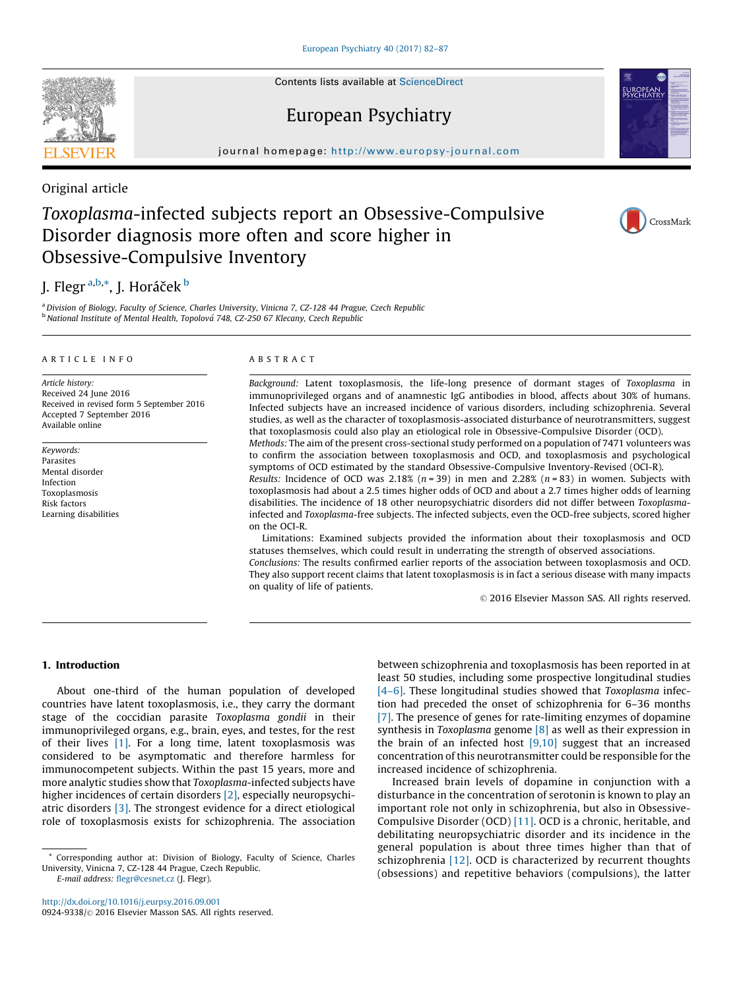Contents lists available at [ScienceDirect](http://www.sciencedirect.com/science/journal/09249338)

# European Psychiatry

journal homepage: http://www.europsy-journal.com

Original article

# Toxoplasma-infected subjects report an Obsessive-Compulsive Disorder diagnosis more often and score higher in Obsessive-Compulsive Inventory

# J. Flegr<sup>a,b,\*</sup>, J. Horáček <sup>b</sup>

<sup>a</sup> Division of Biology, Faculty of Science, Charles University, Vinicna 7, CZ-128 44 Prague, Czech Republic  $<sup>b</sup>$  National Institute of Mental Health, Topolová 748, CZ-250 67 Klecany, Czech Republic</sup>

## A R T I C L E I N F O

Article history: Received 24 June 2016 Received in revised form 5 September 2016 Accepted 7 September 2016 Available online

Keywords: Parasites Mental disorder Infection Toxoplasmosis Risk factors Learning disabilities

#### A B S T R A C T

on quality of life of patients.

Background: Latent toxoplasmosis, the life-long presence of dormant stages of Toxoplasma in immunoprivileged organs and of anamnestic IgG antibodies in blood, affects about 30% of humans. Infected subjects have an increased incidence of various disorders, including schizophrenia. Several studies, as well as the character of toxoplasmosis-associated disturbance of neurotransmitters, suggest that toxoplasmosis could also play an etiological role in Obsessive-Compulsive Disorder (OCD).

Methods: The aim of the present cross-sectional study performed on a population of 7471 volunteers was to confirm the association between toxoplasmosis and OCD, and toxoplasmosis and psychological symptoms of OCD estimated by the standard Obsessive-Compulsive Inventory-Revised (OCI-R).

Results: Incidence of OCD was 2.18% ( $n = 39$ ) in men and 2.28% ( $n = 83$ ) in women. Subjects with toxoplasmosis had about a 2.5 times higher odds of OCD and about a 2.7 times higher odds of learning disabilities. The incidence of 18 other neuropsychiatric disorders did not differ between Toxoplasmainfected and Toxoplasma-free subjects. The infected subjects, even the OCD-free subjects, scored higher on the OCI-R.

Limitations: Examined subjects provided the information about their toxoplasmosis and OCD statuses themselves, which could result in underrating the strength of observed associations. Conclusions: The results confirmed earlier reports of the association between toxoplasmosis and OCD. They also support recent claims that latent toxoplasmosis is in fact a serious disease with many impacts

© 2016 Elsevier Masson SAS. All rights reserved.

### 1. Introduction

About one-third of the human population of developed countries have latent toxoplasmosis, i.e., they carry the dormant stage of the coccidian parasite Toxoplasma gondii in their immunoprivileged organs, e.g., brain, eyes, and testes, for the rest of their lives  $[1]$ . For a long time, latent toxoplasmosis was considered to be asymptomatic and therefore harmless for immunocompetent subjects. Within the past 15 years, more and more analytic studies show that Toxoplasma-infected subjects have higher incidences of certain disorders [\[2\]](#page-5-0), especially neuropsychiatric disorders [\[3\].](#page-5-0) The strongest evidence for a direct etiological role of toxoplasmosis exists for schizophrenia. The association

E-mail address: [flegr@cesnet.cz](mailto:flegr@cesnet.cz) (J. Flegr).

<http://dx.doi.org/10.1016/j.eurpsy.2016.09.001> 0924-9338/© 2016 Elsevier Masson SAS. All rights reserved. between schizophrenia and toxoplasmosis has been reported in at least 50 studies, including some prospective longitudinal studies [\[4–6\]](#page-5-0). These longitudinal studies showed that Toxoplasma infection had preceded the onset of schizophrenia for 6–36 months [\[7\].](#page-5-0) The presence of genes for rate-limiting enzymes of dopamine synthesis in Toxoplasma genome [\[8\]](#page-5-0) as well as their expression in the brain of an infected host  $[9,10]$  suggest that an increased concentration of this neurotransmitter could be responsible for the increased incidence of schizophrenia.

Increased brain levels of dopamine in conjunction with a disturbance in the concentration of serotonin is known to play an important role not only in schizophrenia, but also in Obsessive-Compulsive Disorder (OCD) [\[11\]](#page-5-0). OCD is a chronic, heritable, and debilitating neuropsychiatric disorder and its incidence in the general population is about three times higher than that of schizophrenia [\[12\]](#page-5-0). OCD is characterized by recurrent thoughts (obsessions) and repetitive behaviors (compulsions), the latter





CrossMark

<sup>\*</sup> Corresponding author at: Division of Biology, Faculty of Science, Charles University, Vinicna 7, CZ-128 44 Prague, Czech Republic.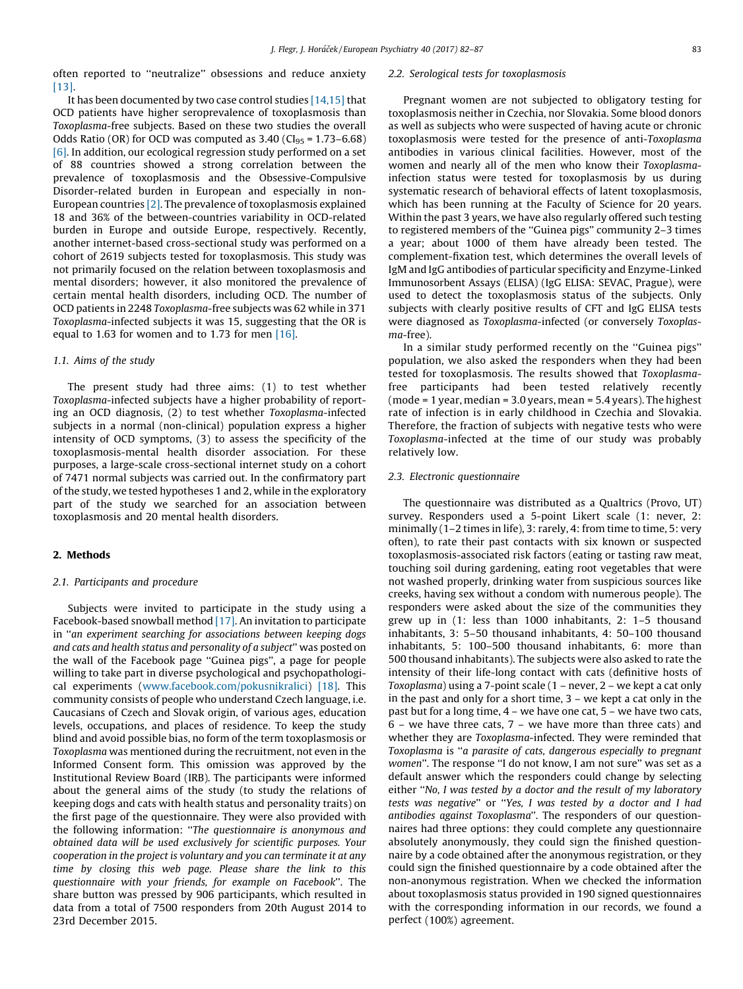<span id="page-1-0"></span>often reported to ''neutralize'' obsessions and reduce anxiety [\[13\].](#page-5-0)

It has been documented by two case control studies [\[14,15\]](#page-5-0) that OCD patients have higher seroprevalence of toxoplasmosis than Toxoplasma-free subjects. Based on these two studies the overall Odds Ratio (OR) for OCD was computed as  $3.40$  (CI<sub>95</sub> =  $1.73-6.68$ ) [\[6\]](#page-5-0). In addition, our ecological regression study performed on a set of 88 countries showed a strong correlation between the prevalence of toxoplasmosis and the Obsessive-Compulsive Disorder-related burden in European and especially in non-European countries [\[2\].](#page-5-0) The prevalence of toxoplasmosis explained 18 and 36% of the between-countries variability in OCD-related burden in Europe and outside Europe, respectively. Recently, another internet-based cross-sectional study was performed on a cohort of 2619 subjects tested for toxoplasmosis. This study was not primarily focused on the relation between toxoplasmosis and mental disorders; however, it also monitored the prevalence of certain mental health disorders, including OCD. The number of OCD patients in 2248 Toxoplasma-free subjects was 62 while in 371 Toxoplasma-infected subjects it was 15, suggesting that the OR is equal to 1.63 for women and to 1.73 for men [\[16\].](#page-5-0)

### 1.1. Aims of the study

The present study had three aims: (1) to test whether Toxoplasma-infected subjects have a higher probability of reporting an OCD diagnosis, (2) to test whether Toxoplasma-infected subjects in a normal (non-clinical) population express a higher intensity of OCD symptoms, (3) to assess the specificity of the toxoplasmosis-mental health disorder association. For these purposes, a large-scale cross-sectional internet study on a cohort of 7471 normal subjects was carried out. In the confirmatory part ofthe study, we tested hypotheses 1 and 2, while in the exploratory part of the study we searched for an association between toxoplasmosis and 20 mental health disorders.

# 2. Methods

### 2.1. Participants and procedure

Subjects were invited to participate in the study using a Facebook-based snowball method [\[17\]](#page-5-0). An invitation to participate in ''an experiment searching for associations between keeping dogs and cats and health status and personality of a subject'' was posted on the wall of the Facebook page ''Guinea pigs'', a page for people willing to take part in diverse psychological and psychopathological experiments [\(www.facebook.com/pokusnikralici\)](http://www.facebook.com/pokusnikralici) [\[18\].](#page-5-0) This community consists of people who understand Czech language, i.e. Caucasians of Czech and Slovak origin, of various ages, education levels, occupations, and places of residence. To keep the study blind and avoid possible bias, no form of the term toxoplasmosis or Toxoplasma was mentioned during the recruitment, not even in the Informed Consent form. This omission was approved by the Institutional Review Board (IRB). The participants were informed about the general aims of the study (to study the relations of keeping dogs and cats with health status and personality traits) on the first page of the questionnaire. They were also provided with the following information: ''The questionnaire is anonymous and obtained data will be used exclusively for scientific purposes. Your cooperation in the project is voluntary and you can terminate it at any time by closing this web page. Please share the link to this questionnaire with your friends, for example on Facebook''. The share button was pressed by 906 participants, which resulted in data from a total of 7500 responders from 20th August 2014 to 23rd December 2015.

#### 2.2. Serological tests for toxoplasmosis

Pregnant women are not subjected to obligatory testing for toxoplasmosis neither in Czechia, nor Slovakia. Some blood donors as well as subjects who were suspected of having acute or chronic toxoplasmosis were tested for the presence of anti-Toxoplasma antibodies in various clinical facilities. However, most of the women and nearly all of the men who know their Toxoplasmainfection status were tested for toxoplasmosis by us during systematic research of behavioral effects of latent toxoplasmosis, which has been running at the Faculty of Science for 20 years. Within the past 3 years, we have also regularly offered such testing to registered members of the ''Guinea pigs'' community 2–3 times a year; about 1000 of them have already been tested. The complement-fixation test, which determines the overall levels of IgM and IgG antibodies of particular specificity and Enzyme-Linked Immunosorbent Assays (ELISA) (IgG ELISA: SEVAC, Prague), were used to detect the toxoplasmosis status of the subjects. Only subjects with clearly positive results of CFT and IgG ELISA tests were diagnosed as Toxoplasma-infected (or conversely Toxoplasma-free).

In a similar study performed recently on the ''Guinea pigs'' population, we also asked the responders when they had been tested for toxoplasmosis. The results showed that Toxoplasmafree participants had been tested relatively recently (mode = 1 year, median = 3.0 years, mean = 5.4 years). The highest rate of infection is in early childhood in Czechia and Slovakia. Therefore, the fraction of subjects with negative tests who were Toxoplasma-infected at the time of our study was probably relatively low.

#### 2.3. Electronic questionnaire

The questionnaire was distributed as a Qualtrics (Provo, UT) survey. Responders used a 5-point Likert scale (1: never, 2: minimally (1–2 times in life), 3: rarely, 4: from time to time, 5: very often), to rate their past contacts with six known or suspected toxoplasmosis-associated risk factors (eating or tasting raw meat, touching soil during gardening, eating root vegetables that were not washed properly, drinking water from suspicious sources like creeks, having sex without a condom with numerous people). The responders were asked about the size of the communities they grew up in (1: less than 1000 inhabitants, 2: 1–5 thousand inhabitants, 3: 5–50 thousand inhabitants, 4: 50–100 thousand inhabitants, 5: 100–500 thousand inhabitants, 6: more than 500 thousand inhabitants). The subjects were also asked to rate the intensity of their life-long contact with cats (definitive hosts of Toxoplasma) using a 7-point scale (1 – never, 2 – we kept a cat only in the past and only for a short time, 3 – we kept a cat only in the past but for a long time, 4 – we have one cat, 5 – we have two cats,  $6$  – we have three cats,  $7$  – we have more than three cats) and whether they are Toxoplasma-infected. They were reminded that Toxoplasma is ''a parasite of cats, dangerous especially to pregnant women''. The response ''I do not know, I am not sure'' was set as a default answer which the responders could change by selecting either ''No, I was tested by a doctor and the result of my laboratory tests was negative'' or ''Yes, I was tested by a doctor and I had antibodies against Toxoplasma''. The responders of our questionnaires had three options: they could complete any questionnaire absolutely anonymously, they could sign the finished questionnaire by a code obtained after the anonymous registration, or they could sign the finished questionnaire by a code obtained after the non-anonymous registration. When we checked the information about toxoplasmosis status provided in 190 signed questionnaires with the corresponding information in our records, we found a perfect (100%) agreement.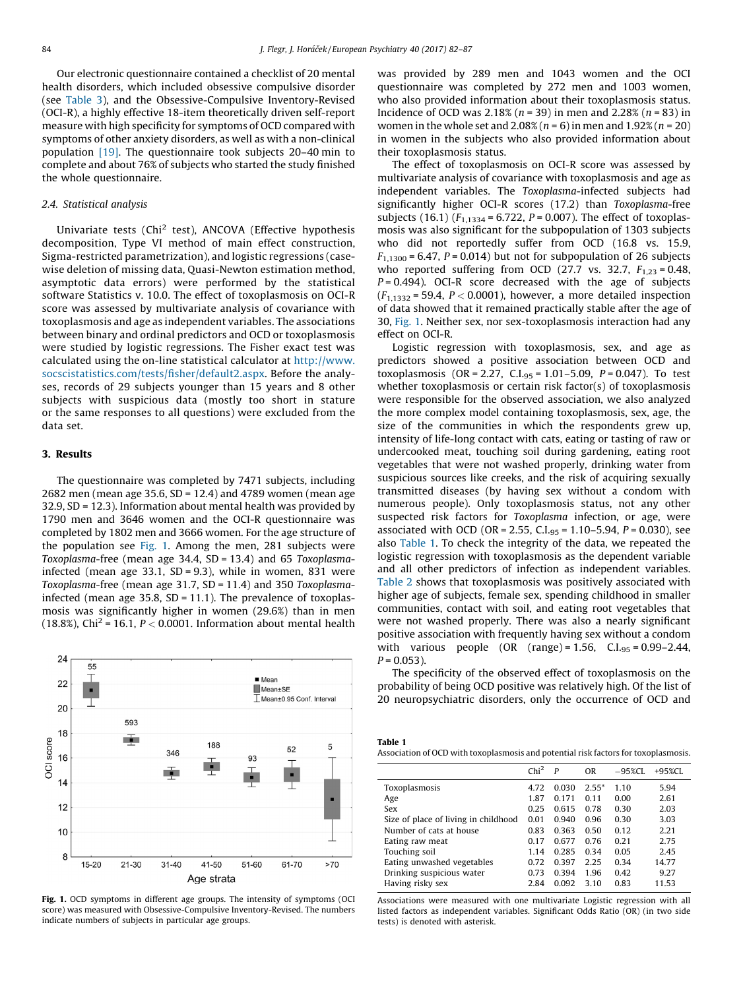Our electronic questionnaire contained a checklist of 20 mental health disorders, which included obsessive compulsive disorder (see [Table](#page-3-0) 3), and the Obsessive-Compulsive Inventory-Revised (OCI-R), a highly effective 18-item theoretically driven self-report measure with high specificity for symptoms of OCD compared with symptoms of other anxiety disorders, as well as with a non-clinical population [\[19\]](#page-5-0). The questionnaire took subjects 20–40 min to complete and about 76% of subjects who started the study finished the whole questionnaire.

## 2.4. Statistical analysis

Univariate tests (Chi<sup>2</sup> test), ANCOVA (Effective hypothesis decomposition, Type VI method of main effect construction, Sigma-restricted parametrization), and logistic regressions (casewise deletion of missing data, Quasi-Newton estimation method, asymptotic data errors) were performed by the statistical software Statistics v. 10.0. The effect of toxoplasmosis on OCI-R score was assessed by multivariate analysis of covariance with toxoplasmosis and age as independent variables. The associations between binary and ordinal predictors and OCD or toxoplasmosis were studied by logistic regressions. The Fisher exact test was calculated using the on-line statistical calculator at [http://www.](http://www.socscistatistics.com/tests/fisher/default2.aspx) [socscistatistics.com/tests/fisher/default2.aspx](http://www.socscistatistics.com/tests/fisher/default2.aspx). Before the analyses, records of 29 subjects younger than 15 years and 8 other subjects with suspicious data (mostly too short in stature or the same responses to all questions) were excluded from the data set.

#### 3. Results

The questionnaire was completed by 7471 subjects, including 2682 men (mean age 35.6, SD = 12.4) and 4789 women (mean age 32.9, SD = 12.3). Information about mental health was provided by 1790 men and 3646 women and the OCI-R questionnaire was completed by 1802 men and 3666 women. For the age structure of the population see Fig. 1. Among the men, 281 subjects were Toxoplasma-free (mean age 34.4, SD = 13.4) and 65 Toxoplasmainfected (mean age  $33.1$ , SD = 9.3), while in women, 831 were Toxoplasma-free (mean age 31.7, SD = 11.4) and 350 Toxoplasmainfected (mean age 35.8,  $SD = 11.1$ ). The prevalence of toxoplasmosis was significantly higher in women (29.6%) than in men (18.8%), Chi<sup>2</sup> = 16.1,  $P < 0.0001$ . Information about mental health



Fig. 1. OCD symptoms in different age groups. The intensity of symptoms (OCI score) was measured with Obsessive-Compulsive Inventory-Revised. The numbers indicate numbers of subjects in particular age groups.

was provided by 289 men and 1043 women and the OCI questionnaire was completed by 272 men and 1003 women, who also provided information about their toxoplasmosis status. Incidence of OCD was 2.18% ( $n = 39$ ) in men and 2.28% ( $n = 83$ ) in women in the whole set and  $2.08\%$  ( $n = 6$ ) in men and  $1.92\%$  ( $n = 20$ ) in women in the subjects who also provided information about their toxoplasmosis status.

The effect of toxoplasmosis on OCI-R score was assessed by multivariate analysis of covariance with toxoplasmosis and age as independent variables. The Toxoplasma-infected subjects had significantly higher OCI-R scores (17.2) than Toxoplasma-free subjects (16.1) ( $F_{1,1334} = 6.722$ ,  $P = 0.007$ ). The effect of toxoplasmosis was also significant for the subpopulation of 1303 subjects who did not reportedly suffer from OCD (16.8 vs. 15.9,  $F_{1,1300}$  = 6.47, P = 0.014) but not for subpopulation of 26 subjects who reported suffering from OCD (27.7 vs. 32.7,  $F_{1,23} = 0.48$ ,  $P = 0.494$ ). OCI-R score decreased with the age of subjects  $(F_{1,1332} = 59.4, P < 0.0001)$ , however, a more detailed inspection of data showed that it remained practically stable after the age of 30, Fig. 1. Neither sex, nor sex-toxoplasmosis interaction had any effect on OCI-R.

Logistic regression with toxoplasmosis, sex, and age as predictors showed a positive association between OCD and toxoplasmosis (OR = 2.27, C.I.<sub>95</sub> = 1.01-5.09,  $P = 0.047$ ). To test whether toxoplasmosis or certain risk factor(s) of toxoplasmosis were responsible for the observed association, we also analyzed the more complex model containing toxoplasmosis, sex, age, the size of the communities in which the respondents grew up, intensity of life-long contact with cats, eating or tasting of raw or undercooked meat, touching soil during gardening, eating root vegetables that were not washed properly, drinking water from suspicious sources like creeks, and the risk of acquiring sexually transmitted diseases (by having sex without a condom with numerous people). Only toxoplasmosis status, not any other suspected risk factors for Toxoplasma infection, or age, were associated with OCD (OR = 2.55, C.I.<sub>95</sub> = 1.10–5.94, P = 0.030), see also Table 1. To check the integrity of the data, we repeated the logistic regression with toxoplasmosis as the dependent variable and all other predictors of infection as independent variables. [Table](#page-3-0) 2 shows that toxoplasmosis was positively associated with higher age of subjects, female sex, spending childhood in smaller communities, contact with soil, and eating root vegetables that were not washed properly. There was also a nearly significant positive association with frequently having sex without a condom with various people  $(OR (range) = 1.56, C.I.95 = 0.99 - 2.44,$  $P = 0.053$ ).

The specificity of the observed effect of toxoplasmosis on the probability of being OCD positive was relatively high. Of the list of 20 neuropsychiatric disorders, only the occurrence of OCD and

| Table 1                                                                             |
|-------------------------------------------------------------------------------------|
| Association of OCD with toxoplasmosis and potential risk factors for toxoplasmosis. |

| Chi <sup>2</sup> | P     | 0 <sub>R</sub> | $-95\%$ CI. | $+95\%$ CL |
|------------------|-------|----------------|-------------|------------|
| 4.72             | 0.030 | $2.55*$        | 1.10        | 5.94       |
| 1.87             | 0.171 | 0.11           | 0.00        | 2.61       |
| 0.25             | 0.615 | 0.78           | 0.30        | 2.03       |
| 0.01             | 0.940 | 0.96           | 0.30        | 3.03       |
| 0.83             | 0.363 | 0.50           | 0.12        | 2.21       |
| 0.17             | 0.677 | 0.76           | 0.21        | 2.75       |
| 1.14             | 0.285 | 0.34           | 0.05        | 2.45       |
| 0.72             | 0.397 | 2.25           | 0.34        | 14.77      |
| 0.73             | 0.394 | 1.96           | 0.42        | 9.27       |
| 2.84             | 0.092 | 3.10           | 0.83        | 11.53      |
|                  |       |                |             |            |

Associations were measured with one multivariate Logistic regression with all listed factors as independent variables. Significant Odds Ratio (OR) (in two side tests) is denoted with asterisk.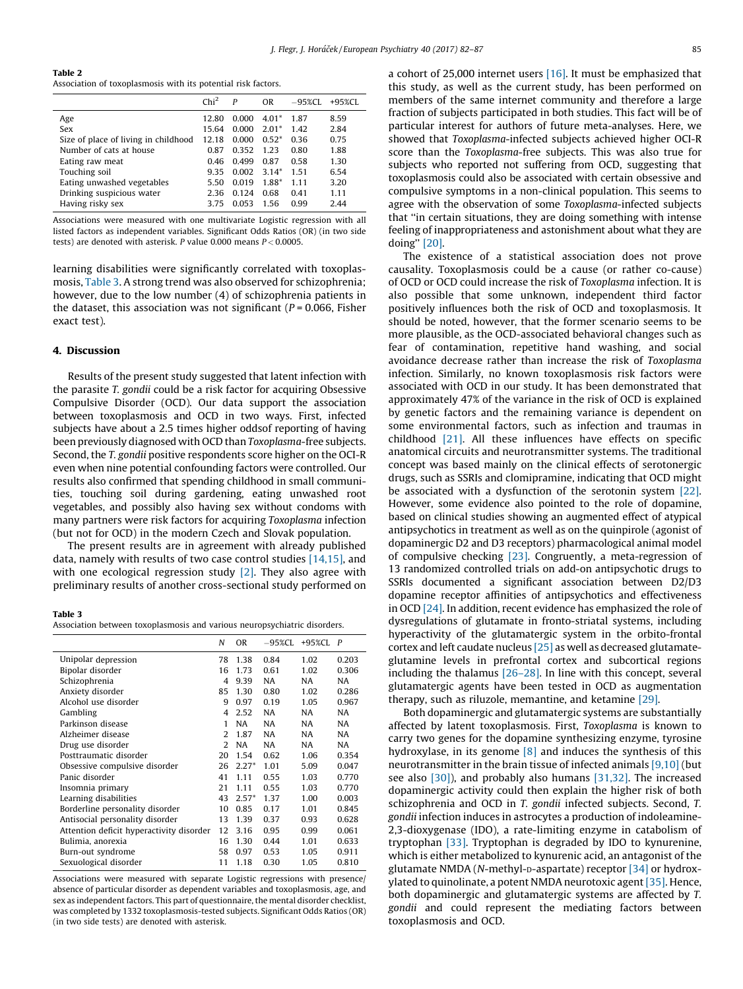<span id="page-3-0"></span>

| ×<br>. .<br>٠ |  |
|---------------|--|
|---------------|--|

Association of toxoplasmosis with its potential risk factors.

|                                      | Chi <sup>2</sup> | P     | OR      | $-95\%$ CL | $+95\%$ CL |
|--------------------------------------|------------------|-------|---------|------------|------------|
| Age                                  | 12.80            | 0.000 | $4.01*$ | 1.87       | 8.59       |
| Sex                                  | 15.64            | 0.000 | $2.01*$ | 1.42       | 2.84       |
| Size of place of living in childhood | 12.18            | 0.000 | $0.52*$ | 0.36       | 0.75       |
| Number of cats at house              | 0.87             | 0.352 | 1.23    | 0.80       | 1.88       |
| Eating raw meat                      | 0.46             | 0.499 | 0.87    | 0.58       | 1.30       |
| Touching soil                        | 9.35             | 0.002 | $3.14*$ | 1.51       | 6.54       |
| Eating unwashed vegetables           | 5.50             | 0.019 | 1.88*   | 1.11       | 3.20       |
| Drinking suspicious water            | 2.36             | 0.124 | 0.68    | 0.41       | 1.11       |
| Having risky sex                     | 3.75             | 0.053 | 156     | 0.99       | 2.44       |
|                                      |                  |       |         |            |            |

Associations were measured with one multivariate Logistic regression with all listed factors as independent variables. Significant Odds Ratios (OR) (in two side tests) are denoted with asterisk. P value 0.000 means  $P < 0.0005$ .

learning disabilities were significantly correlated with toxoplasmosis, Table 3. A strong trend was also observed for schizophrenia; however, due to the low number (4) of schizophrenia patients in the dataset, this association was not significant ( $P = 0.066$ , Fisher exact test).

## 4. Discussion

Results of the present study suggested that latent infection with the parasite T. gondii could be a risk factor for acquiring Obsessive Compulsive Disorder (OCD). Our data support the association between toxoplasmosis and OCD in two ways. First, infected subjects have about a 2.5 times higher oddsof reporting of having been previously diagnosed with OCD than Toxoplasma-free subjects. Second, the T. gondii positive respondents score higher on the OCI-R even when nine potential confounding factors were controlled. Our results also confirmed that spending childhood in small communities, touching soil during gardening, eating unwashed root vegetables, and possibly also having sex without condoms with many partners were risk factors for acquiring Toxoplasma infection (but not for OCD) in the modern Czech and Slovak population.

The present results are in agreement with already published data, namely with results of two case control studies [\[14,15\]](#page-5-0), and with one ecological regression study [\[2\]](#page-5-0). They also agree with preliminary results of another cross-sectional study performed on

#### Table 3

Association between toxoplasmosis and various neuropsychiatric disorders.

|                                          | N              | OR        | -95%CL    | +95%CL | P         |
|------------------------------------------|----------------|-----------|-----------|--------|-----------|
| Unipolar depression                      | 78             | 1.38      | 0.84      | 1.02   | 0.203     |
| Bipolar disorder                         | 16             | 1.73      | 0.61      | 1.02   | 0.306     |
| Schizophrenia                            | 4              | 9.39      | <b>NA</b> | NA.    | NA        |
| Anxiety disorder                         | 85             | 1.30      | 0.80      | 1.02   | 0.286     |
| Alcohol use disorder                     | 9              | 0.97      | 0.19      | 1.05   | 0.967     |
| Gambling                                 | 4              | 2.52      | NA        | NA     | <b>NA</b> |
| Parkinson disease                        | 1              | <b>NA</b> | NA        | NA.    | NA.       |
| Alzheimer disease                        | $\overline{2}$ | 1.87      | <b>NA</b> | NA     | NA        |
| Drug use disorder                        | $\mathcal{L}$  | <b>NA</b> | NA        | NA     | NA        |
| Posttraumatic disorder                   | 20             | 1.54      | 0.62      | 1.06   | 0.354     |
| Obsessive compulsive disorder            | 26             | $2.27*$   | 1.01      | 5.09   | 0.047     |
| Panic disorder                           | 41             | 1.11      | 0.55      | 1.03   | 0.770     |
| Insomnia primary                         | 21             | 1.11      | 0.55      | 1.03   | 0.770     |
| Learning disabilities                    | 43             | $2.57*$   | 1.37      | 1.00   | 0.003     |
| Borderline personality disorder          | 10             | 0.85      | 0.17      | 1.01   | 0.845     |
| Antisocial personality disorder          | 13             | 1.39      | 0.37      | 0.93   | 0.628     |
| Attention deficit hyperactivity disorder | 12             | 3.16      | 0.95      | 0.99   | 0.061     |
| Bulimia, anorexia                        | 16             | 1.30      | 0.44      | 1.01   | 0.633     |
| Burn-out syndrome                        | 58             | 0.97      | 0.53      | 1.05   | 0.911     |
| Sexuological disorder                    | 11             | 1.18      | 0.30      | 1.05   | 0.810     |

Associations were measured with separate Logistic regressions with presence/ absence of particular disorder as dependent variables and toxoplasmosis, age, and sex as independent factors. This part of questionnaire, the mental disorder checklist, was completed by 1332 toxoplasmosis-tested subjects. Significant Odds Ratios (OR) (in two side tests) are denoted with asterisk.

a cohort of 25,000 internet users [\[16\].](#page-5-0) It must be emphasized that this study, as well as the current study, has been performed on members of the same internet community and therefore a large fraction of subjects participated in both studies. This fact will be of particular interest for authors of future meta-analyses. Here, we showed that Toxoplasma-infected subjects achieved higher OCI-R score than the Toxoplasma-free subjects. This was also true for subjects who reported not suffering from OCD, suggesting that toxoplasmosis could also be associated with certain obsessive and compulsive symptoms in a non-clinical population. This seems to agree with the observation of some Toxoplasma-infected subjects that ''in certain situations, they are doing something with intense feeling of inappropriateness and astonishment about what they are doing'' [\[20\].](#page-5-0)

The existence of a statistical association does not prove causality. Toxoplasmosis could be a cause (or rather co-cause) of OCD or OCD could increase the risk of Toxoplasma infection. It is also possible that some unknown, independent third factor positively influences both the risk of OCD and toxoplasmosis. It should be noted, however, that the former scenario seems to be more plausible, as the OCD-associated behavioral changes such as fear of contamination, repetitive hand washing, and social avoidance decrease rather than increase the risk of Toxoplasma infection. Similarly, no known toxoplasmosis risk factors were associated with OCD in our study. It has been demonstrated that approximately 47% of the variance in the risk of OCD is explained by genetic factors and the remaining variance is dependent on some environmental factors, such as infection and traumas in childhood [\[21\].](#page-5-0) All these influences have effects on specific anatomical circuits and neurotransmitter systems. The traditional concept was based mainly on the clinical effects of serotonergic drugs, such as SSRIs and clomipramine, indicating that OCD might be associated with a dysfunction of the serotonin system [\[22\].](#page-5-0) However, some evidence also pointed to the role of dopamine, based on clinical studies showing an augmented effect of atypical antipsychotics in treatment as well as on the quinpirole (agonist of dopaminergic D2 and D3 receptors) pharmacological animal model of compulsive checking [\[23\]](#page-5-0). Congruently, a meta-regression of 13 randomized controlled trials on add-on antipsychotic drugs to SSRIs documented a significant association between D2/D3 dopamine receptor affinities of antipsychotics and effectiveness in OCD [\[24\].](#page-5-0) In addition, recent evidence has emphasized the role of dysregulations of glutamate in fronto-striatal systems, including hyperactivity of the glutamatergic system in the orbito-frontal cortex and left caudate nucleus [\[25\]](#page-5-0) as well as decreased glutamateglutamine levels in prefrontal cortex and subcortical regions including the thalamus [\[26–28\].](#page-5-0) In line with this concept, several glutamatergic agents have been tested in OCD as augmentation therapy, such as riluzole, memantine, and ketamine [\[29\]](#page-5-0).

Both dopaminergic and glutamatergic systems are substantially affected by latent toxoplasmosis. First, Toxoplasma is known to carry two genes for the dopamine synthesizing enzyme, tyrosine hydroxylase, in its genome [\[8\]](#page-5-0) and induces the synthesis of this neurotransmitter in the brain tissue of infected animals [\[9,10\]](#page-5-0) (but see also [\[30\]](#page-5-0)), and probably also humans [\[31,32\].](#page-5-0) The increased dopaminergic activity could then explain the higher risk of both schizophrenia and OCD in T. gondii infected subjects. Second, T. gondii infection induces in astrocytes a production of indoleamine-2,3-dioxygenase (IDO), a rate-limiting enzyme in catabolism of tryptophan [\[33\].](#page-5-0) Tryptophan is degraded by IDO to kynurenine, which is either metabolized to kynurenic acid, an antagonist of the glutamate NMDA (N-methyl-D-aspartate) receptor [\[34\]](#page-5-0) or hydroxylated to quinolinate, a potent NMDA neurotoxic agent  $[35]$ . Hence, both dopaminergic and glutamatergic systems are affected by T. gondii and could represent the mediating factors between toxoplasmosis and OCD.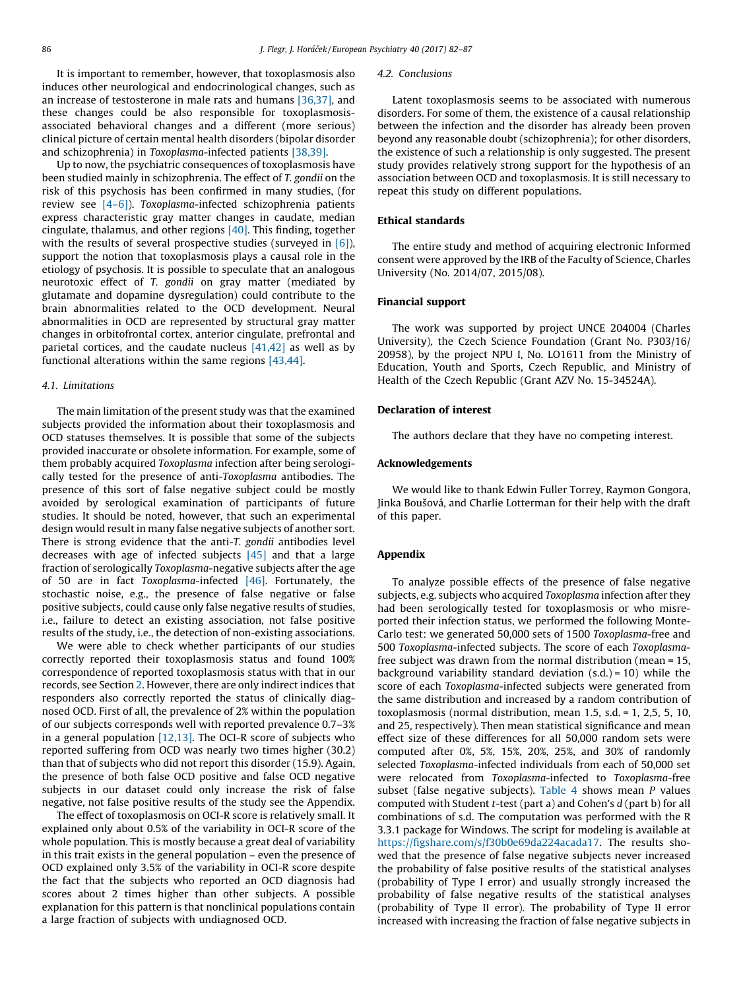It is important to remember, however, that toxoplasmosis also induces other neurological and endocrinological changes, such as an increase of testosterone in male rats and humans [\[36,37\]](#page-5-0), and these changes could be also responsible for toxoplasmosisassociated behavioral changes and a different (more serious) clinical picture of certain mental health disorders (bipolar disorder and schizophrenia) in Toxoplasma-infected patients [\[38,39\]](#page-5-0).

Up to now, the psychiatric consequences of toxoplasmosis have been studied mainly in schizophrenia. The effect of T. gondii on the risk of this psychosis has been confirmed in many studies, (for review see [\[4–6\]\)](#page-5-0). Toxoplasma-infected schizophrenia patients express characteristic gray matter changes in caudate, median cingulate, thalamus, and other regions [\[40\]](#page-5-0). This finding, together with the results of several prospective studies (surveyed in  $[6]$ ), support the notion that toxoplasmosis plays a causal role in the etiology of psychosis. It is possible to speculate that an analogous neurotoxic effect of T. gondii on gray matter (mediated by glutamate and dopamine dysregulation) could contribute to the brain abnormalities related to the OCD development. Neural abnormalities in OCD are represented by structural gray matter changes in orbitofrontal cortex, anterior cingulate, prefrontal and parietal cortices, and the caudate nucleus  $[41,42]$  as well as by functional alterations within the same regions [\[43,44\].](#page-5-0)

#### 4.1. Limitations

The main limitation of the present study was that the examined subjects provided the information about their toxoplasmosis and OCD statuses themselves. It is possible that some of the subjects provided inaccurate or obsolete information. For example, some of them probably acquired Toxoplasma infection after being serologically tested for the presence of anti-Toxoplasma antibodies. The presence of this sort of false negative subject could be mostly avoided by serological examination of participants of future studies. It should be noted, however, that such an experimental design would result in many false negative subjects of another sort. There is strong evidence that the anti-T. gondii antibodies level decreases with age of infected subjects [\[45\]](#page-5-0) and that a large fraction of serologically Toxoplasma-negative subjects after the age of 50 are in fact Toxoplasma-infected [\[46\].](#page-5-0) Fortunately, the stochastic noise, e.g., the presence of false negative or false positive subjects, could cause only false negative results of studies, i.e., failure to detect an existing association, not false positive results of the study, i.e., the detection of non-existing associations.

We were able to check whether participants of our studies correctly reported their toxoplasmosis status and found 100% correspondence of reported toxoplasmosis status with that in our records, see Section [2.](#page-1-0) However, there are only indirect indices that responders also correctly reported the status of clinically diagnosed OCD. First of all, the prevalence of 2% within the population of our subjects corresponds well with reported prevalence 0.7–3% in a general population [\[12,13\]](#page-5-0). The OCI-R score of subjects who reported suffering from OCD was nearly two times higher (30.2) than that of subjects who did not report this disorder (15.9). Again, the presence of both false OCD positive and false OCD negative subjects in our dataset could only increase the risk of false negative, not false positive results of the study see the Appendix.

The effect of toxoplasmosis on OCI-R score is relatively small. It explained only about 0.5% of the variability in OCI-R score of the whole population. This is mostly because a great deal of variability in this trait exists in the general population – even the presence of OCD explained only 3.5% of the variability in OCI-R score despite the fact that the subjects who reported an OCD diagnosis had scores about 2 times higher than other subjects. A possible explanation for this pattern is that nonclinical populations contain a large fraction of subjects with undiagnosed OCD.

#### 4.2. Conclusions

Latent toxoplasmosis seems to be associated with numerous disorders. For some of them, the existence of a causal relationship between the infection and the disorder has already been proven beyond any reasonable doubt (schizophrenia); for other disorders, the existence of such a relationship is only suggested. The present study provides relatively strong support for the hypothesis of an association between OCD and toxoplasmosis. It is still necessary to repeat this study on different populations.

#### Ethical standards

The entire study and method of acquiring electronic Informed consent were approved by the IRB of the Faculty of Science, Charles University (No. 2014/07, 2015/08).

### Financial support

The work was supported by project UNCE 204004 (Charles University), the Czech Science Foundation (Grant No. P303/16/ 20958), by the project NPU I, No. LO1611 from the Ministry of Education, Youth and Sports, Czech Republic, and Ministry of Health of the Czech Republic (Grant AZV No. 15-34524A).

### Declaration of interest

The authors declare that they have no competing interest.

#### Acknowledgements

We would like to thank Edwin Fuller Torrey, Raymon Gongora, Jinka Boušová, and Charlie Lotterman for their help with the draft of this paper.

## Appendix

To analyze possible effects of the presence of false negative subjects, e.g. subjects who acquired Toxoplasma infection after they had been serologically tested for toxoplasmosis or who misreported their infection status, we performed the following Monte-Carlo test: we generated 50,000 sets of 1500 Toxoplasma-free and 500 Toxoplasma-infected subjects. The score of each Toxoplasmafree subject was drawn from the normal distribution (mean = 15, background variability standard deviation  $(s.d.) = 10$ ) while the score of each Toxoplasma-infected subjects were generated from the same distribution and increased by a random contribution of toxoplasmosis (normal distribution, mean 1.5, s.d. = 1, 2,5, 5, 10, and 25, respectively). Then mean statistical significance and mean effect size of these differences for all 50,000 random sets were computed after 0%, 5%, 15%, 20%, 25%, and 30% of randomly selected Toxoplasma-infected individuals from each of 50,000 set were relocated from Toxoplasma-infected to Toxoplasma-free subset (false negative subjects). [Table](#page-5-0)  $4$  shows mean  $P$  values computed with Student  $t$ -test (part a) and Cohen's  $d$  (part b) for all combinations of s.d. The computation was performed with the R 3.3.1 package for Windows. The script for modeling is available at [https://figshare.com/s/f30b0e69da224acada17.](https://figshare.com/s/f30b0e69da224acada17) The results showed that the presence of false negative subjects never increased the probability of false positive results of the statistical analyses (probability of Type I error) and usually strongly increased the probability of false negative results of the statistical analyses (probability of Type II error). The probability of Type II error increased with increasing the fraction of false negative subjects in